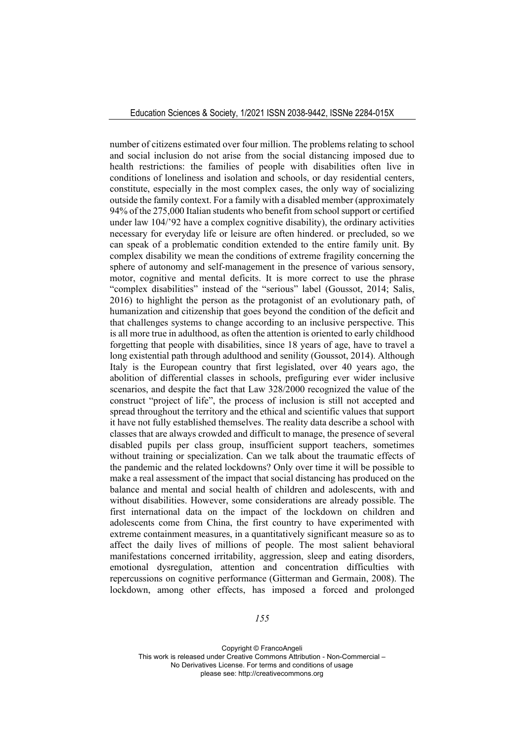number of citizens estimated over four million. The problems relating to school and social inclusion do not arise from the social distancing imposed due to health restrictions: the families of people with disabilities often live in conditions of loneliness and isolation and schools, or day residential centers, constitute, especially in the most complex cases, the only way of socializing outside the family context. For a family with a disabled member (approximately 94% of the 275,000 Italian students who benefit from school support or certified under law 104/'92 have a complex cognitive disability), the ordinary activities necessary for everyday life or leisure are often hindered. or precluded, so we can speak of a problematic condition extended to the entire family unit. By complex disability we mean the conditions of extreme fragility concerning the sphere of autonomy and self-management in the presence of various sensory, motor, cognitive and mental deficits. It is more correct to use the phrase "complex disabilities" instead of the "serious" label (Goussot, 2014; Salis, 2016) to highlight the person as the protagonist of an evolutionary path, of humanization and citizenship that goes beyond the condition of the deficit and that challenges systems to change according to an inclusive perspective. This is all more true in adulthood, as often the attention is oriented to early childhood forgetting that people with disabilities, since 18 years of age, have to travel a long existential path through adulthood and senility (Goussot, 2014). Although Italy is the European country that first legislated, over 40 years ago, the abolition of differential classes in schools, prefiguring ever wider inclusive scenarios, and despite the fact that Law 328/2000 recognized the value of the construct "project of life", the process of inclusion is still not accepted and spread throughout the territory and the ethical and scientific values that support it have not fully established themselves. The reality data describe a school with classes that are always crowded and difficult to manage, the presence of several disabled pupils per class group, insufficient support teachers, sometimes without training or specialization. Can we talk about the traumatic effects of the pandemic and the related lockdowns? Only over time it will be possible to make a real assessment of the impact that social distancing has produced on the balance and mental and social health of children and adolescents, with and without disabilities. However, some considerations are already possible. The first international data on the impact of the lockdown on children and adolescents come from China, the first country to have experimented with extreme containment measures, in a quantitatively significant measure so as to affect the daily lives of millions of people. The most salient behavioral manifestations concerned irritability, aggression, sleep and eating disorders, emotional dysregulation, attention and concentration difficulties with repercussions on cognitive performance (Gitterman and Germain, 2008). The lockdown, among other effects, has imposed a forced and prolonged

*155*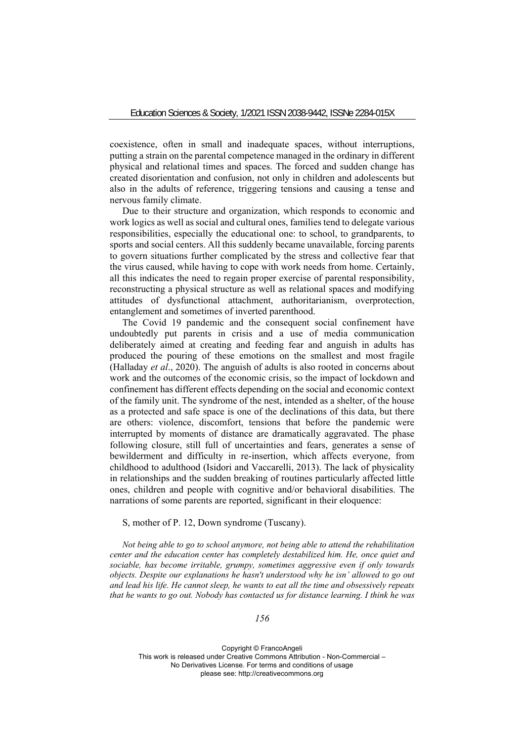coexistence, often in small and inadequate spaces, without interruptions, putting a strain on the parental competence managed in the ordinary in different physical and relational times and spaces. The forced and sudden change has created disorientation and confusion, not only in children and adolescents but also in the adults of reference, triggering tensions and causing a tense and nervous family climate.

Due to their structure and organization, which responds to economic and work logics as well as social and cultural ones, families tend to delegate various responsibilities, especially the educational one: to school, to grandparents, to sports and social centers. All this suddenly became unavailable, forcing parents to govern situations further complicated by the stress and collective fear that the virus caused, while having to cope with work needs from home. Certainly, all this indicates the need to regain proper exercise of parental responsibility, reconstructing a physical structure as well as relational spaces and modifying attitudes of dysfunctional attachment, authoritarianism, overprotection, entanglement and sometimes of inverted parenthood.

The Covid 19 pandemic and the consequent social confinement have undoubtedly put parents in crisis and a use of media communication deliberately aimed at creating and feeding fear and anguish in adults has produced the pouring of these emotions on the smallest and most fragile (Halladay *et al*., 2020). The anguish of adults is also rooted in concerns about work and the outcomes of the economic crisis, so the impact of lockdown and confinement has different effects depending on the social and economic context of the family unit. The syndrome of the nest, intended as a shelter, of the house as a protected and safe space is one of the declinations of this data, but there are others: violence, discomfort, tensions that before the pandemic were interrupted by moments of distance are dramatically aggravated. The phase following closure, still full of uncertainties and fears, generates a sense of bewilderment and difficulty in re-insertion, which affects everyone, from childhood to adulthood (Isidori and Vaccarelli, 2013). The lack of physicality in relationships and the sudden breaking of routines particularly affected little ones, children and people with cognitive and/or behavioral disabilities. The narrations of some parents are reported, significant in their eloquence:

S, mother of P. 12, Down syndrome (Tuscany).

*Not being able to go to school anymore, not being able to attend the rehabilitation center and the education center has completely destabilized him. He, once quiet and sociable, has become irritable, grumpy, sometimes aggressive even if only towards objects. Despite our explanations he hasn't understood why he isn' allowed to go out and lead his life. He cannot sleep, he wants to eat all the time and obsessively repeats that he wants to go out. Nobody has contacted us for distance learning. I think he was* 

*156*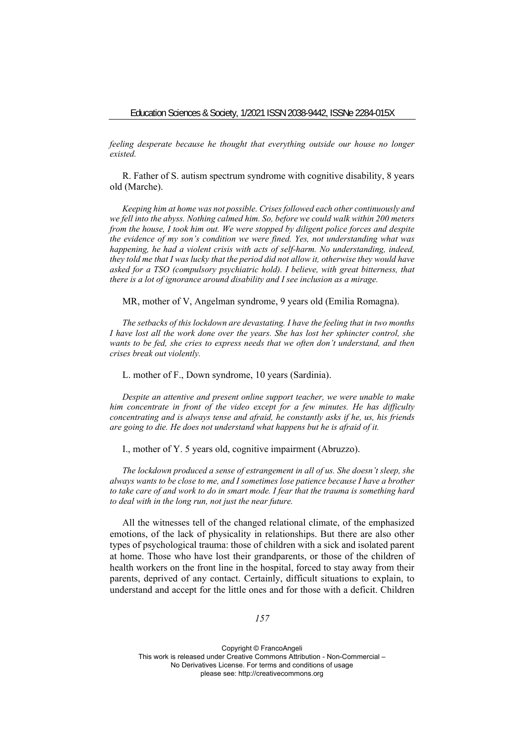*feeling desperate because he thought that everything outside our house no longer existed.* 

R. Father of S. autism spectrum syndrome with cognitive disability, 8 years old (Marche).

*Keeping him at home was not possible. Crises followed each other continuously and we fell into the abyss. Nothing calmed him. So, before we could walk within 200 meters from the house, I took him out. We were stopped by diligent police forces and despite the evidence of my son's condition we were fined. Yes, not understanding what was happening, he had a violent crisis with acts of self-harm. No understanding, indeed, they told me that I was lucky that the period did not allow it, otherwise they would have asked for a TSO (compulsory psychiatric hold). I believe, with great bitterness, that there is a lot of ignorance around disability and I see inclusion as a mirage.* 

MR, mother of V, Angelman syndrome, 9 years old (Emilia Romagna).

*The setbacks of this lockdown are devastating. I have the feeling that in two months I have lost all the work done over the years. She has lost her sphincter control, she wants to be fed, she cries to express needs that we often don't understand, and then crises break out violently.* 

L. mother of F., Down syndrome, 10 years (Sardinia).

*Despite an attentive and present online support teacher, we were unable to make him concentrate in front of the video except for a few minutes. He has difficulty concentrating and is always tense and afraid, he constantly asks if he, us, his friends are going to die. He does not understand what happens but he is afraid of it.* 

I., mother of Y. 5 years old, cognitive impairment (Abruzzo).

*The lockdown produced a sense of estrangement in all of us. She doesn't sleep, she always wants to be close to me, and I sometimes lose patience because I have a brother to take care of and work to do in smart mode. I fear that the trauma is something hard to deal with in the long run, not just the near future.* 

All the witnesses tell of the changed relational climate, of the emphasized emotions, of the lack of physicality in relationships. But there are also other types of psychological trauma: those of children with a sick and isolated parent at home. Those who have lost their grandparents, or those of the children of health workers on the front line in the hospital, forced to stay away from their parents, deprived of any contact. Certainly, difficult situations to explain, to understand and accept for the little ones and for those with a deficit. Children

*157*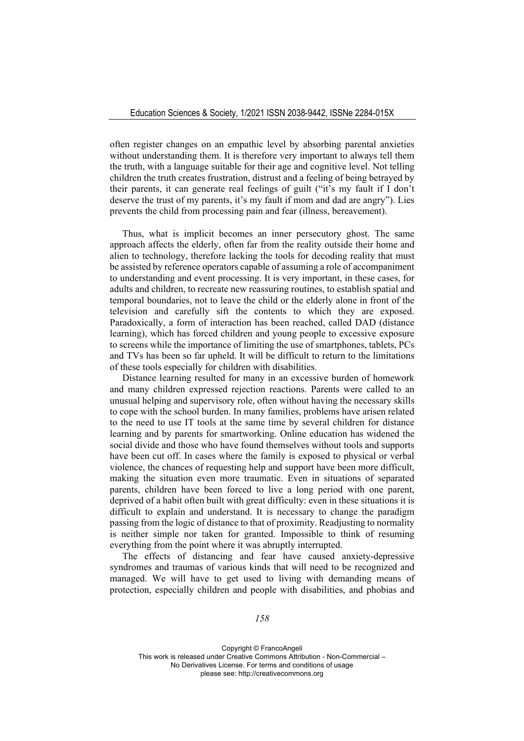often register changes on an empathic level by absorbing parental anxieties without understanding them. It is therefore very important to always tell them the truth, with a language suitable for their age and cognitive level. Not telling children the truth creates frustration, distrust and a feeling of being betrayed by their parents, it can generate real feelings of guilt ("it's my fault if I don't deserve the trust of my parents, it's my fault if mom and dad are angry"). Lies prevents the child from processing pain and fear (illness, bereavement).

Thus, what is implicit becomes an inner persecutory ghost. The same approach affects the elderly, often far from the reality outside their home and alien to technology, therefore lacking the tools for decoding reality that must be assisted by reference operators capable of assuming a role of accompaniment to understanding and event processing. It is very important, in these cases, for adults and children, to recreate new reassuring routines, to establish spatial and temporal boundaries, not to leave the child or the elderly alone in front of the television and carefully sift the contents to which they are exposed. Paradoxically, a form of interaction has been reached, called DAD (distance learning), which has forced children and young people to excessive exposure to screens while the importance of limiting the use of smartphones, tablets, PCs and TVs has been so far upheld. It will be difficult to return to the limitations of these tools especially for children with disabilities.

Distance learning resulted for many in an excessive burden of homework and many children expressed rejection reactions. Parents were called to an unusual helping and supervisory role, often without having the necessary skills to cope with the school burden. In many families, problems have arisen related to the need to use IT tools at the same time by several children for distance learning and by parents for smartworking. Online education has widened the social divide and those who have found themselves without tools and supports have been cut off. In cases where the family is exposed to physical or verbal violence, the chances of requesting help and support have been more difficult, making the situation even more traumatic. Even in situations of separated parents, children have been forced to live a long period with one parent, deprived of a habit often built with great difficulty: even in these situations it is difficult to explain and understand. It is necessary to change the paradigm passing from the logic of distance to that of proximity. Readjusting to normality is neither simple nor taken for granted. Impossible to think of resuming everything from the point where it was abruptly interrupted.

The effects of distancing and fear have caused anxiety-depressive syndromes and traumas of various kinds that will need to be recognized and managed. We will have to get used to living with demanding means of protection, especially children and people with disabilities, and phobias and

*158*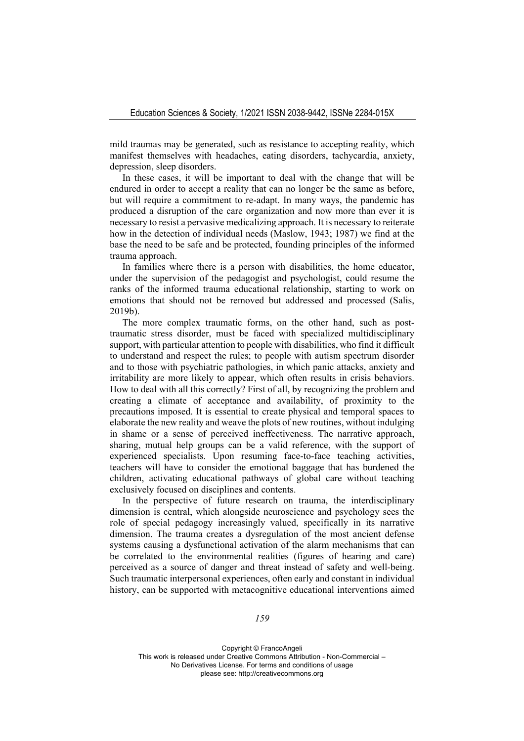mild traumas may be generated, such as resistance to accepting reality, which manifest themselves with headaches, eating disorders, tachycardia, anxiety, depression, sleep disorders.

In these cases, it will be important to deal with the change that will be endured in order to accept a reality that can no longer be the same as before, but will require a commitment to re-adapt. In many ways, the pandemic has produced a disruption of the care organization and now more than ever it is necessary to resist a pervasive medicalizing approach. It is necessary to reiterate how in the detection of individual needs (Maslow, 1943; 1987) we find at the base the need to be safe and be protected, founding principles of the informed trauma approach.

In families where there is a person with disabilities, the home educator, under the supervision of the pedagogist and psychologist, could resume the ranks of the informed trauma educational relationship, starting to work on emotions that should not be removed but addressed and processed (Salis, 2019b).

The more complex traumatic forms, on the other hand, such as posttraumatic stress disorder, must be faced with specialized multidisciplinary support, with particular attention to people with disabilities, who find it difficult to understand and respect the rules; to people with autism spectrum disorder and to those with psychiatric pathologies, in which panic attacks, anxiety and irritability are more likely to appear, which often results in crisis behaviors. How to deal with all this correctly? First of all, by recognizing the problem and creating a climate of acceptance and availability, of proximity to the precautions imposed. It is essential to create physical and temporal spaces to elaborate the new reality and weave the plots of new routines, without indulging in shame or a sense of perceived ineffectiveness. The narrative approach, sharing, mutual help groups can be a valid reference, with the support of experienced specialists. Upon resuming face-to-face teaching activities, teachers will have to consider the emotional baggage that has burdened the children, activating educational pathways of global care without teaching exclusively focused on disciplines and contents.

In the perspective of future research on trauma, the interdisciplinary dimension is central, which alongside neuroscience and psychology sees the role of special pedagogy increasingly valued, specifically in its narrative dimension. The trauma creates a dysregulation of the most ancient defense systems causing a dysfunctional activation of the alarm mechanisms that can be correlated to the environmental realities (figures of hearing and care) perceived as a source of danger and threat instead of safety and well-being. Such traumatic interpersonal experiences, often early and constant in individual history, can be supported with metacognitive educational interventions aimed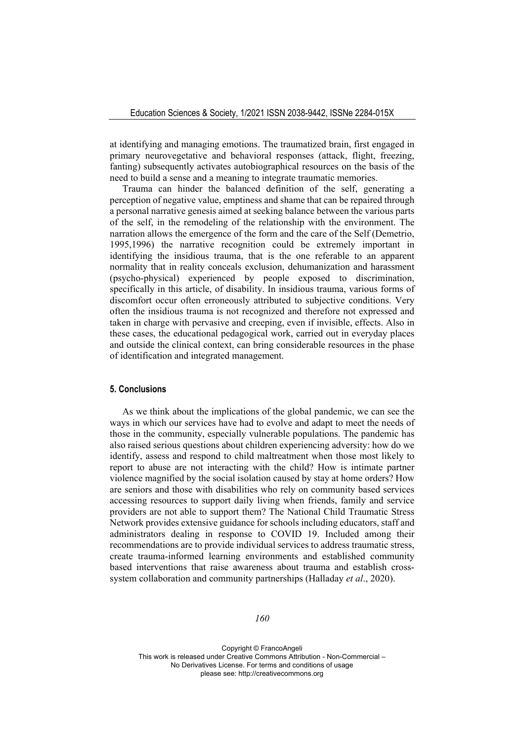at identifying and managing emotions. The traumatized brain, first engaged in primary neurovegetative and behavioral responses (attack, flight, freezing, fanting) subsequently activates autobiographical resources on the basis of the need to build a sense and a meaning to integrate traumatic memories.

Trauma can hinder the balanced definition of the self, generating a perception of negative value, emptiness and shame that can be repaired through a personal narrative genesis aimed at seeking balance between the various parts of the self, in the remodeling of the relationship with the environment. The narration allows the emergence of the form and the care of the Self (Demetrio, 1995,1996) the narrative recognition could be extremely important in identifying the insidious trauma, that is the one referable to an apparent normality that in reality conceals exclusion, dehumanization and harassment (psycho-physical) experienced by people exposed to discrimination, specifically in this article, of disability. In insidious trauma, various forms of discomfort occur often erroneously attributed to subjective conditions. Very often the insidious trauma is not recognized and therefore not expressed and taken in charge with pervasive and creeping, even if invisible, effects. Also in these cases, the educational pedagogical work, carried out in everyday places and outside the clinical context, can bring considerable resources in the phase of identification and integrated management.

# **5. Conclusions**

As we think about the implications of the global pandemic, we can see the ways in which our services have had to evolve and adapt to meet the needs of those in the community, especially vulnerable populations. The pandemic has also raised serious questions about children experiencing adversity: how do we identify, assess and respond to child maltreatment when those most likely to report to abuse are not interacting with the child? How is intimate partner violence magnified by the social isolation caused by stay at home orders? How are seniors and those with disabilities who rely on community based services accessing resources to support daily living when friends, family and service providers are not able to support them? The National Child Traumatic Stress Network provides extensive guidance for schools including educators, staff and administrators dealing in response to COVID 19. Included among their recommendations are to provide individual services to address traumatic stress, create trauma-informed learning environments and established community based interventions that raise awareness about trauma and establish crosssystem collaboration and community partnerships (Halladay *et al*., 2020).

#### *160*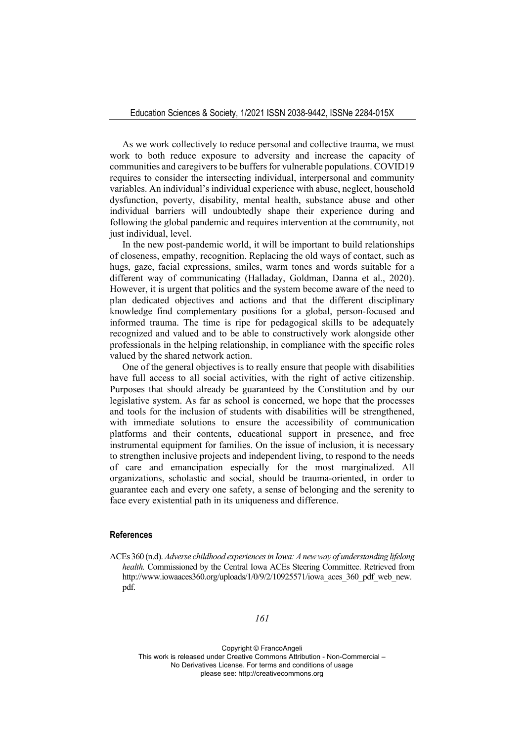As we work collectively to reduce personal and collective trauma, we must work to both reduce exposure to adversity and increase the capacity of communities and caregivers to be buffers for vulnerable populations. COVID19 requires to consider the intersecting individual, interpersonal and community variables. An individual's individual experience with abuse, neglect, household dysfunction, poverty, disability, mental health, substance abuse and other individual barriers will undoubtedly shape their experience during and following the global pandemic and requires intervention at the community, not just individual, level.

In the new post-pandemic world, it will be important to build relationships of closeness, empathy, recognition. Replacing the old ways of contact, such as hugs, gaze, facial expressions, smiles, warm tones and words suitable for a different way of communicating (Halladay, Goldman, Danna et al., 2020). However, it is urgent that politics and the system become aware of the need to plan dedicated objectives and actions and that the different disciplinary knowledge find complementary positions for a global, person-focused and informed trauma. The time is ripe for pedagogical skills to be adequately recognized and valued and to be able to constructively work alongside other professionals in the helping relationship, in compliance with the specific roles valued by the shared network action.

One of the general objectives is to really ensure that people with disabilities have full access to all social activities, with the right of active citizenship. Purposes that should already be guaranteed by the Constitution and by our legislative system. As far as school is concerned, we hope that the processes and tools for the inclusion of students with disabilities will be strengthened, with immediate solutions to ensure the accessibility of communication platforms and their contents, educational support in presence, and free instrumental equipment for families. On the issue of inclusion, it is necessary to strengthen inclusive projects and independent living, to respond to the needs of care and emancipation especially for the most marginalized. All organizations, scholastic and social, should be trauma-oriented, in order to guarantee each and every one safety, a sense of belonging and the serenity to face every existential path in its uniqueness and difference.

#### **References**

ACEs 360 (n.d). *Adverse childhood experiences in Iowa: A new way of understanding lifelong health.* Commissioned by the Central Iowa ACEs Steering Committee. Retrieved from http://www.iowaaces360.org/uploads/1/0/9/2/10925571/iowa\_aces\_360\_pdf\_web\_new. pdf.

### *161*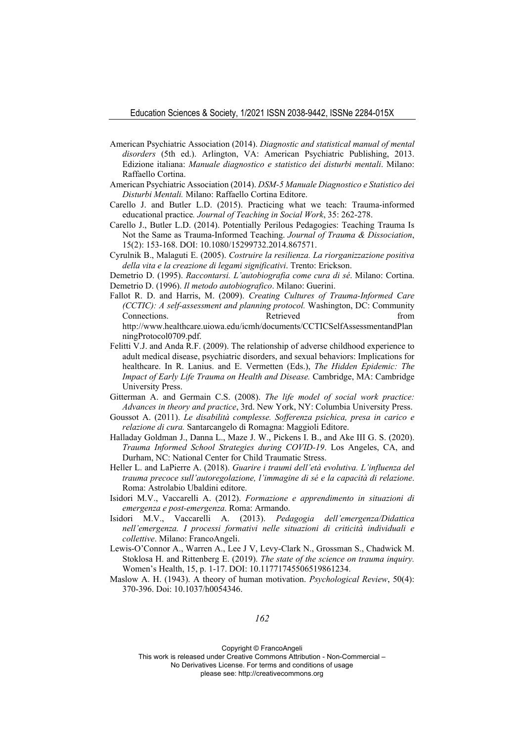- American Psychiatric Association (2014). *Diagnostic and statistical manual of mental disorders* (5th ed.). Arlington, VA: American Psychiatric Publishing, 2013. Edizione italiana: *Manuale diagnostico e statistico dei disturbi mentali*. Milano: Raffaello Cortina.
- American Psychiatric Association (2014). *DSM-5 Manuale Diagnostico e Statistico dei Disturbi Mentali.* Milano: Raffaello Cortina Editore.
- Carello J. and Butler L.D. (2015). Practicing what we teach: Trauma-informed educational practice*. Journal of Teaching in Social Work*, 35: 262-278.
- Carello J., Butler L.D. (2014). Potentially Perilous Pedagogies: Teaching Trauma Is Not the Same as Trauma-Informed Teaching. *Journal of Trauma & Dissociation*, 15(2): 153-168. DOI: 10.1080/15299732.2014.867571.
- Cyrulnik B., Malaguti E. (2005). *Costruire la resilienza. La riorganizzazione positiva della vita e la creazione di legami significativi*. Trento: Erickson.
- Demetrio D. (1995). *Raccontarsi. L'autobiografia come cura di sé*. Milano: Cortina. Demetrio D. (1996). *Il metodo autobiografico*. Milano: Guerini.
- Fallot R. D. and Harris, M. (2009). *Creating Cultures of Trauma-Informed Care (CCTIC): A self-assessment and planning protocol.* Washington, DC: Community Connections. Retrieved from http://www.healthcare.uiowa.edu/icmh/documents/CCTICSelfAssessmentandPlan ningProtocol0709.pdf.
- Felitti V.J. and Anda R.F. (2009). The relationship of adverse childhood experience to adult medical disease, psychiatric disorders, and sexual behaviors: Implications for healthcare. In R. Lanius. and E. Vermetten (Eds.), *The Hidden Epidemic: The Impact of Early Life Trauma on Health and Disease.* Cambridge, MA: Cambridge University Press.
- Gitterman A. and Germain C.S. (2008). *The life model of social work practice: Advances in theory and practice*, 3rd. New York, NY: Columbia University Press.
- Goussot A. (2011). *Le disabilità complesse. Sofferenza psichica, presa in carico e relazione di cura.* Santarcangelo di Romagna: Maggioli Editore.
- Halladay Goldman J., Danna L., Maze J. W., Pickens I. B., and Ake III G. S. (2020). *Trauma Informed School Strategies during COVID-19*. Los Angeles, CA, and Durham, NC: National Center for Child Traumatic Stress.
- Heller L. and LaPierre A. (2018). *Guarire i traumi dell'età evolutiva. L'influenza del trauma precoce sull'autoregolazione, l'immagine di sé e la capacità di relazione*. Roma: Astrolabio Ubaldini editore.
- Isidori M.V., Vaccarelli A. (2012). *Formazione e apprendimento in situazioni di emergenza e post-emergenza.* Roma: Armando.
- Isidori M.V., Vaccarelli A. (2013). *Pedagogia dell'emergenza/Didattica nell'emergenza. I processi formativi nelle situazioni di criticità individuali e collettive*. Milano: FrancoAngeli.
- Lewis-O'Connor A., Warren A., Lee J V, Levy-Clark N., Grossman S., Chadwick M. Stoklosa H. and Rittenberg E. (2019). *The state of the science on trauma inquiry.*  Women's Health, 15, p. 1-17. DOI: 10.11771745506519861234.
- Maslow A. H. (1943). A theory of human motivation. *Psychological Review*, 50(4): 370-396. Doi: 10.1037/h0054346.

## *162*

Copyright © FrancoAngeli

This work is released under Creative Commons Attribution - Non-Commercial – No Derivatives License. For terms and conditions of usage

please see: http://creativecommons.org